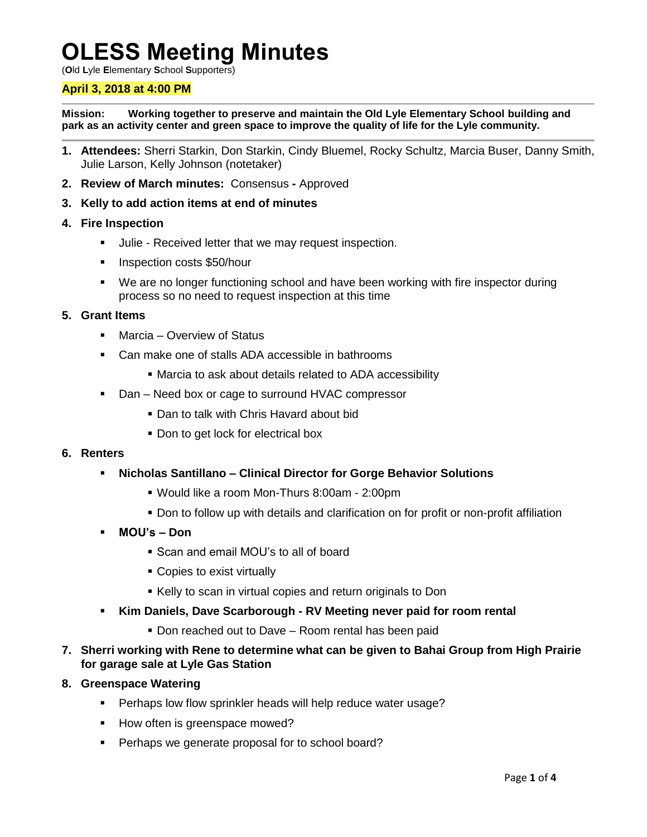# **OLESS Meeting Minutes**

(**O**ld **L**yle **E**lementary **S**chool **S**upporters)

#### **April 3, 2018 at 4:00 PM**

**Mission: Working together to preserve and maintain the Old Lyle Elementary School building and park as an activity center and green space to improve the quality of life for the Lyle community.**

- **1. Attendees:** Sherri Starkin, Don Starkin, Cindy Bluemel, Rocky Schultz, Marcia Buser, Danny Smith, Julie Larson, Kelly Johnson (notetaker)
- **2. Review of March minutes:** Consensus **-** Approved
- **3. Kelly to add action items at end of minutes**
- **4. Fire Inspection**
	- **Julie Received letter that we may request inspection.**
	- **Inspection costs \$50/hour**
	- We are no longer functioning school and have been working with fire inspector during process so no need to request inspection at this time

#### **5. Grant Items**

- Marcia Overview of Status
- Can make one of stalls ADA accessible in bathrooms
	- Marcia to ask about details related to ADA accessibility
- Dan Need box or cage to surround HVAC compressor
	- Dan to talk with Chris Havard about bid
	- Don to get lock for electrical box

#### **6. Renters**

- **Nicholas Santillano – Clinical Director for Gorge Behavior Solutions**
	- Would like a room Mon-Thurs 8:00am 2:00pm
	- **Don to follow up with details and clarification on for profit or non-profit affiliation**
- **MOU's – Don**
	- Scan and email MOU's to all of board
	- **Copies to exist virtually**
	- Kelly to scan in virtual copies and return originals to Don
- **Kim Daniels, Dave Scarborough - RV Meeting never paid for room rental**
	- **Don reached out to Dave Room rental has been paid**
- **7. Sherri working with Rene to determine what can be given to Bahai Group from High Prairie for garage sale at Lyle Gas Station**
- **8. Greenspace Watering**
	- **Perhaps low flow sprinkler heads will help reduce water usage?**
	- How often is greenspace mowed?
	- Perhaps we generate proposal for to school board?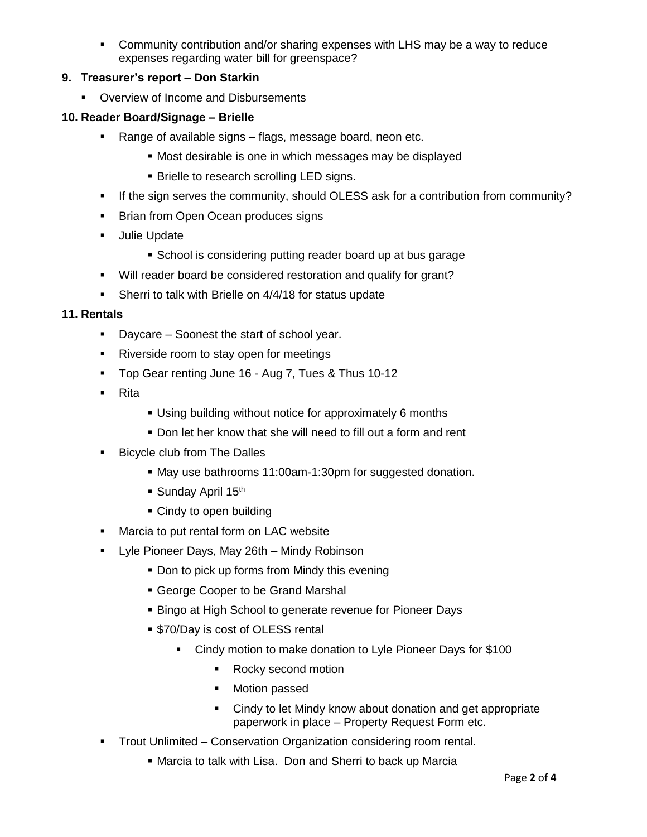Community contribution and/or sharing expenses with LHS may be a way to reduce expenses regarding water bill for greenspace?

## **9. Treasurer's report – Don Starkin**

**• Overview of Income and Disbursements** 

## **10. Reader Board/Signage – Brielle**

- Range of available signs flags, message board, neon etc.
	- Most desirable is one in which messages may be displayed
	- **Brielle to research scrolling LED signs.**
- If the sign serves the community, should OLESS ask for a contribution from community?
- **Brian from Open Ocean produces signs**
- **Julie Update** 
	- **School is considering putting reader board up at bus garage**
- Will reader board be considered restoration and qualify for grant?
- **Sherri to talk with Brielle on 4/4/18 for status update**

#### **11. Rentals**

- **Daycare Soonest the start of school year.**
- Riverside room to stay open for meetings
- Top Gear renting June 16 Aug 7, Tues & Thus 10-12
- Rita
- Using building without notice for approximately 6 months
- Don let her know that she will need to fill out a form and rent
- Bicycle club from The Dalles
	- May use bathrooms 11:00am-1:30pm for suggested donation.
	- Sunday April 15<sup>th</sup>
	- Cindy to open building
- **Marcia to put rental form on LAC website**
- **-** Lyle Pioneer Days, May 26th Mindy Robinson
	- Don to pick up forms from Mindy this evening
	- George Cooper to be Grand Marshal
	- **Bingo at High School to generate revenue for Pioneer Days**
	- **.** \$70/Day is cost of OLESS rental
		- Cindy motion to make donation to Lyle Pioneer Days for \$100
			- Rocky second motion
			- Motion passed
			- Cindy to let Mindy know about donation and get appropriate paperwork in place – Property Request Form etc.
- **Trout Unlimited Conservation Organization considering room rental.** 
	- Marcia to talk with Lisa. Don and Sherri to back up Marcia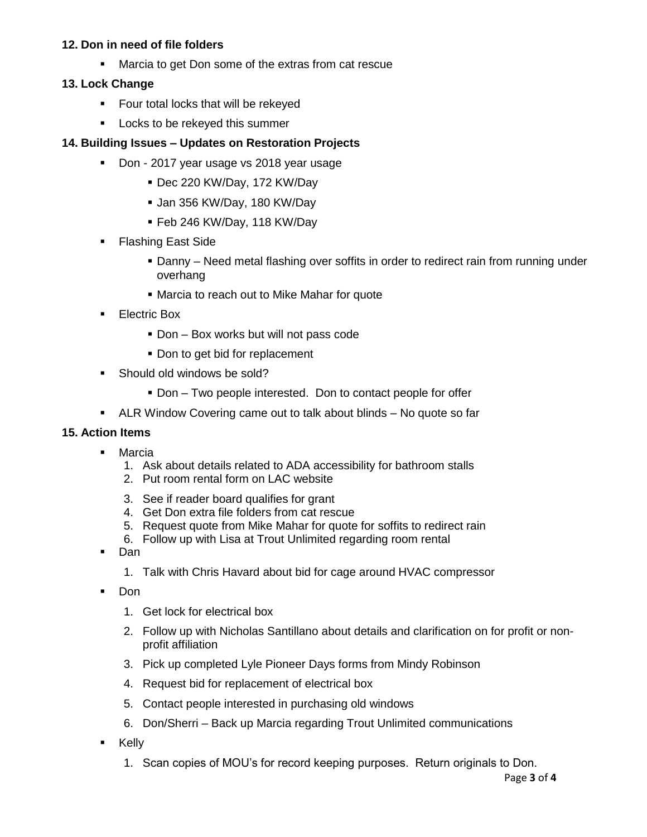#### **12. Don in need of file folders**

**Marcia to get Don some of the extras from cat rescue** 

## **13. Lock Change**

- **Four total locks that will be rekeyed**
- **Locks to be rekeyed this summer**

# **14. Building Issues – Updates on Restoration Projects**

- Don 2017 year usage vs 2018 year usage
	- Dec 220 KW/Day, 172 KW/Day
	- Jan 356 KW/Day, 180 KW/Day
	- Feb 246 KW/Day, 118 KW/Day
- Flashing East Side
	- Danny Need metal flashing over soffits in order to redirect rain from running under overhang
	- Marcia to reach out to Mike Mahar for quote
- **Electric Box** 
	- Don Box works but will not pass code
	- Don to get bid for replacement
- Should old windows be sold?
	- Don Two people interested. Don to contact people for offer
- ALR Window Covering came out to talk about blinds No quote so far

#### **15. Action Items**

- Marcia
	- 1. Ask about details related to ADA accessibility for bathroom stalls
	- 2. Put room rental form on LAC website
	- 3. See if reader board qualifies for grant
	- 4. Get Don extra file folders from cat rescue
	- 5. Request quote from Mike Mahar for quote for soffits to redirect rain
	- 6. Follow up with Lisa at Trout Unlimited regarding room rental
- Dan
	- 1. Talk with Chris Havard about bid for cage around HVAC compressor
- Don
	- 1. Get lock for electrical box
	- 2. Follow up with Nicholas Santillano about details and clarification on for profit or nonprofit affiliation
	- 3. Pick up completed Lyle Pioneer Days forms from Mindy Robinson
	- 4. Request bid for replacement of electrical box
	- 5. Contact people interested in purchasing old windows
	- 6. Don/Sherri Back up Marcia regarding Trout Unlimited communications
- Kelly
	- 1. Scan copies of MOU's for record keeping purposes. Return originals to Don.